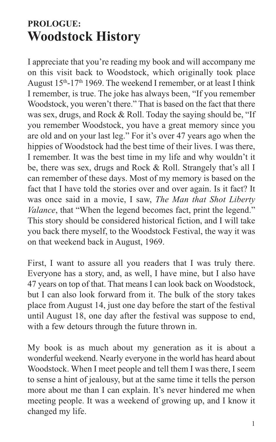## **PROLOGUE: Woodstock History**

I appreciate that you're reading my book and will accompany me on this visit back to Woodstock, which originally took place August 15<sup>th</sup>-17<sup>th</sup> 1969. The weekend I remember, or at least I think I remember, is true. The joke has always been, "If you remember Woodstock, you weren't there." That is based on the fact that there was sex, drugs, and Rock & Roll. Today the saying should be, "If you remember Woodstock, you have a great memory since you are old and on your last leg." For it's over 47 years ago when the hippies of Woodstock had the best time of their lives. I was there, I remember. It was the best time in my life and why wouldn't it be, there was sex, drugs and Rock & Roll. Strangely that's all I can remember of these days. Most of my memory is based on the fact that I have told the stories over and over again. Is it fact? It was once said in a movie, I saw, *The Man that Shot Liberty Valance*, that "When the legend becomes fact, print the legend." This story should be considered historical fiction, and I will take you back there myself, to the Woodstock Festival, the way it was on that weekend back in August, 1969.

First, I want to assure all you readers that I was truly there. Everyone has a story, and, as well, I have mine, but I also have 47 years on top of that. That means I can look back on Woodstock, but I can also look forward from it. The bulk of the story takes place from August 14, just one day before the start of the festival until August 18, one day after the festival was suppose to end, with a few detours through the future thrown in.

My book is as much about my generation as it is about a wonderful weekend. Nearly everyone in the world has heard about Woodstock. When I meet people and tell them I was there, I seem to sense a hint of jealousy, but at the same time it tells the person more about me than I can explain. It's never hindered me when meeting people. It was a weekend of growing up, and I know it changed my life.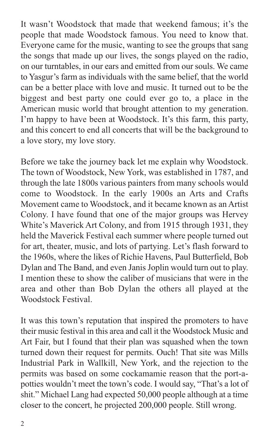It wasn't Woodstock that made that weekend famous; it's the people that made Woodstock famous. You need to know that. Everyone came for the music, wanting to see the groups that sang the songs that made up our lives, the songs played on the radio, on our turntables, in our ears and emitted from our souls. We came to Yasgur's farm as individuals with the same belief, that the world can be a better place with love and music. It turned out to be the biggest and best party one could ever go to, a place in the American music world that brought attention to my generation. I'm happy to have been at Woodstock. It's this farm, this party, and this concert to end all concerts that will be the background to a love story, my love story.

Before we take the journey back let me explain why Woodstock. The town of Woodstock, New York, was established in 1787, and through the late 1800s various painters from many schools would come to Woodstock. In the early 1900s an Arts and Crafts Movement came to Woodstock, and it became known as an Artist Colony. I have found that one of the major groups was Hervey White's Maverick Art Colony, and from 1915 through 1931, they held the Maverick Festival each summer where people turned out for art, theater, music, and lots of partying. Let's flash forward to the 1960s, where the likes of Richie Havens, Paul Butterfield, Bob Dylan and The Band, and even Janis Joplin would turn out to play. I mention these to show the caliber of musicians that were in the area and other than Bob Dylan the others all played at the Woodstock Festival.

It was this town's reputation that inspired the promoters to have their music festival in this area and call it the Woodstock Music and Art Fair, but I found that their plan was squashed when the town turned down their request for permits. Ouch! That site was Mills Industrial Park in Wallkill, New York, and the rejection to the permits was based on some cockamamie reason that the port-apotties wouldn't meet the town's code. I would say, "That's a lot of shit." Michael Lang had expected 50,000 people although at a time closer to the concert, he projected 200,000 people. Still wrong.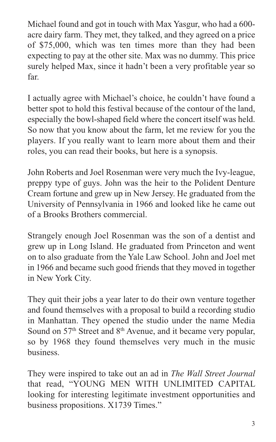Michael found and got in touch with Max Yasgur, who had a 600 acre dairy farm. They met, they talked, and they agreed on a price of \$75,000, which was ten times more than they had been expecting to pay at the other site. Max was no dummy. This price surely helped Max, since it hadn't been a very profitable year so far.

I actually agree with Michael's choice, he couldn't have found a better spot to hold this festival because of the contour of the land, especially the bowl-shaped field where the concert itself was held. So now that you know about the farm, let me review for you the players. If you really want to learn more about them and their roles, you can read their books, but here is a synopsis.

John Roberts and Joel Rosenman were very much the Ivy-league, preppy type of guys. John was the heir to the Polident Denture Cream fortune and grew up in New Jersey. He graduated from the University of Pennsylvania in 1966 and looked like he came out of a Brooks Brothers commercial.

Strangely enough Joel Rosenman was the son of a dentist and grew up in Long Island. He graduated from Princeton and went on to also graduate from the Yale Law School. John and Joel met in 1966 and became such good friends that they moved in together in New York City.

They quit their jobs a year later to do their own venture together and found themselves with a proposal to build a recording studio in Manhattan. They opened the studio under the name Media Sound on 57<sup>th</sup> Street and 8<sup>th</sup> Avenue, and it became very popular, so by 1968 they found themselves very much in the music business.

They were inspired to take out an ad in *The Wall Street Journal* that read, "YOUNG MEN WITH UNLIMITED CAPITAL looking for interesting legitimate investment opportunities and business propositions. X1739 Times."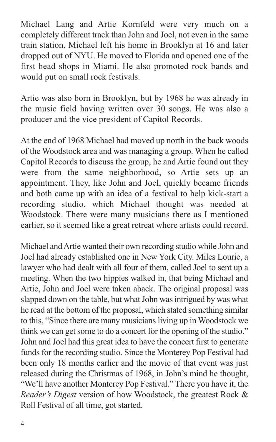Michael Lang and Artie Kornfeld were very much on a completely different track than John and Joel, not even in the same train station. Michael left his home in Brooklyn at 16 and later dropped out of NYU. He moved to Florida and opened one of the first head shops in Miami. He also promoted rock bands and would put on small rock festivals.

Artie was also born in Brooklyn, but by 1968 he was already in the music field having written over 30 songs. He was also a producer and the vice president of Capitol Records.

At the end of 1968 Michael had moved up north in the back woods of the Woodstock area and was managing a group. When he called Capitol Records to discuss the group, he and Artie found out they were from the same neighborhood, so Artie sets up an appointment. They, like John and Joel, quickly became friends and both came up with an idea of a festival to help kick-start a recording studio, which Michael thought was needed at Woodstock. There were many musicians there as I mentioned earlier, so it seemed like a great retreat where artists could record.

Michael andArtie wanted their own recording studio while John and Joel had already established one in New York City. Miles Lourie, a lawyer who had dealt with all four of them, called Joel to sent up a meeting. When the two hippies walked in, that being Michael and Artie, John and Joel were taken aback. The original proposal was slapped down on the table, but what John was intrigued by was what he read at the bottom of the proposal, which stated something similar to this, "Since there are many musicians living up in Woodstock we think we can get some to do a concert for the opening of the studio." John and Joel had this great idea to have the concert first to generate funds for the recording studio. Since the Monterey Pop Festival had been only 18 months earlier and the movie of that event was just released during the Christmas of 1968, in John's mind he thought, "We'll have another Monterey Pop Festival." There you have it, the *Reader's Digest* version of how Woodstock, the greatest Rock & Roll Festival of all time, got started.